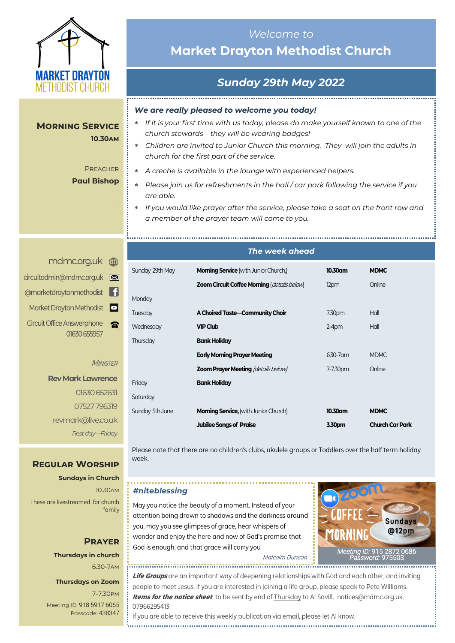

**Morning Service**

# **Market Drayton Methodist Church**

# *Sunday 29th May 2022*

*Welcome to* 

#### *We are really pleased to welcome you today!*

- *If it is your first time with us today, please do make yourself known to one of the church stewards – they will be wearing badges!*
	- *Children are invited to Junior Church this morning. They will join the adults in church for the first part of the service.*
	- *A creche is available in the lounge with experienced helpers.*
	- *Please join us for refreshments in the hall / car park following the service if you are able.*
	- *If you would like prayer after the service, please take a seat on the front row and a member of the prayer team will come to you.*

*The week ahead*

| circuitadmin@mdmc.org.uk                          |  |
|---------------------------------------------------|--|
| @marketdraytonmethodist                           |  |
| Market Drayton Methodist <sup>1</sup>             |  |
| <b>Circuit Office Answerphone</b><br>01630 655957 |  |

#### **MINISTER**

**Rev Mark Lawrence** 01630 652631 07527 796319 revmark@live.co.uk *Rest day—Friday*

### **Regular Worship**

**Sundays in Church** 10.30am These are livestreamed for church family

> **Thursdays in church** 6.30-7am

**Prayer**

**Thursdays on Zoom**

7-7.30pm [Meeting ID:](https://us04web.zoom.us/j/77138650306?fbclid=IwAR1B778-w3GWZgDnAqUFq-X6hXjzASNTsZuRIt4kZ4Cpyur_3CO2EGlBBwY#success) 918 5917 6065 Passcode: 438347

## Sunday 29th May **Morning Service** (with Junior Church,) **10.30am MDMC Zoom Circuit Coffee Morning** (*details below*) 12pm Online **Monday** Tuesday **A Choired Taste—Community Choir** 730pm Hall Wednesday **VIP Club VIP Club** 2-4pm Hall Thursday **Bank Holiday Early Morning Prayer Meeting** 6.30-7am MDMC **Zoom Prayer Meeting** (details below) 7-7.30pm Online Friday **Bank Holiday Saturday** Sunday 5th June **Morning Service,** (with Junior Church) **10.30am MDMC**

Please note that there are no children's clubs, ukulele groups or Toddlers over the half term holiday week.

**Jubilee Songs of Praise 3.30pm Church Car Park**

#### *#niteblessing*

May you notice the beauty of a moment. Instead of your attention being drawn to shadows and the darkness around you, may you see glimpses of grace, hear whispers of wonder and enjoy the here and now of God's promise that God is enough, and that grace will carry you



Malcolm Duncan

**Life Groups** are an important way of deepening relationships with God and each other, and inviting people to meet Jesus. If you are interested in joining a life group, please speak to Pete Williams. **Items for the notice sheet** to be sent by end of Thursday to Al Savill, notices@mdmc.org.uk. 07966295413

If you are able to receive this weekly publication via email, please let Al know. 

#### **PREACHER Paul Bishop**

*.*

**10.30am**